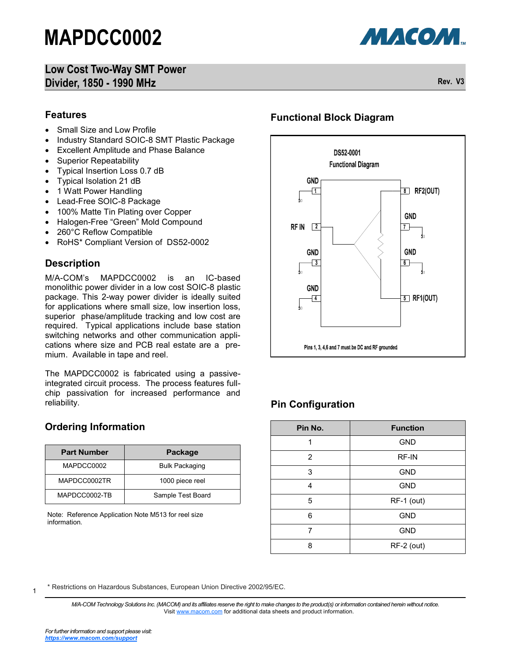### **Low Cost Two-Way SMT Power Divider, 1850 - 1990 MHz Rev. V3**



#### **Features**

- Small Size and Low Profile
- Industry Standard SOIC-8 SMT Plastic Package
- Excellent Amplitude and Phase Balance
- Superior Repeatability
- Typical Insertion Loss 0.7 dB
- Typical Isolation 21 dB
- 1 Watt Power Handling
- Lead-Free SOIC-8 Package
- 100% Matte Tin Plating over Copper
- Halogen-Free "Green" Mold Compound
- 260°C Reflow Compatible
- RoHS\* Compliant Version of DS52-0002

### **Description**

M/A-COM's MAPDCC0002 is an IC-based monolithic power divider in a low cost SOIC-8 plastic package. This 2-way power divider is ideally suited for applications where small size, low insertion loss, superior phase/amplitude tracking and low cost are required. Typical applications include base station switching networks and other communication applications where size and PCB real estate are a premium. Available in tape and reel.

The MAPDCC0002 is fabricated using a passiveintegrated circuit process. The process features fullchip passivation for increased performance and reliability.

## **Ordering Information**

| <b>Part Number</b> | Package               |  |
|--------------------|-----------------------|--|
| MAPDCC0002         | <b>Bulk Packaging</b> |  |
| MAPDCC0002TR       | 1000 piece reel       |  |
| MAPDCC0002-TB      | Sample Test Board     |  |

Note: Reference Application Note M513 for reel size information.

### **Functional Block Diagram**



## **Pin Configuration**

| Pin No. | <b>Function</b> |  |  |
|---------|-----------------|--|--|
| 1       | <b>GND</b>      |  |  |
| 2       | <b>RF-IN</b>    |  |  |
| 3       | <b>GND</b>      |  |  |
| 4       | <b>GND</b>      |  |  |
| 5       | RF-1 (out)      |  |  |
| 6       | <b>GND</b>      |  |  |
| 7       | <b>GND</b>      |  |  |
| 8       | RF-2 (out)      |  |  |

\* Restrictions on Hazardous Substances, European Union Directive 2002/95/EC.

*M/A-COM Technology Solutions Inc. (MACOM) and its affiliates reserve the right to make changes to the product(s) or information contained herein without notice.*  Visit [www.macom.com](http://www.macom.com/) for additional data sheets and product information.

1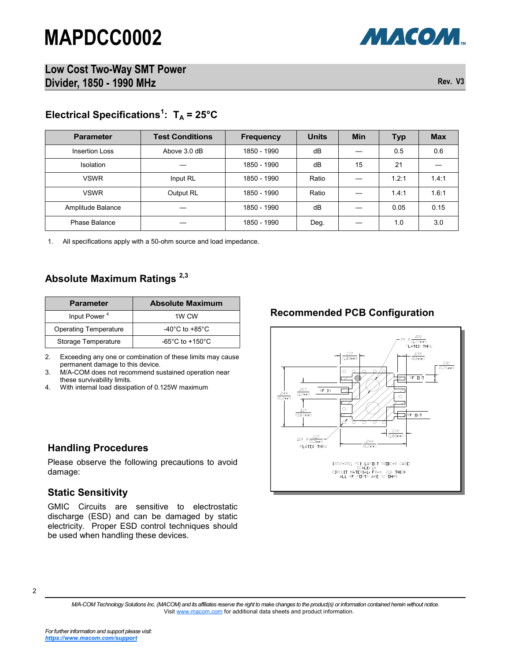

**Low Cost Two-Way SMT Power Divider, 1850 - 1990 MHz Rev. V3**

# **Electrical Specifications<sup>1</sup> : T<sup>A</sup> = 25°C**

| <b>Parameter</b>      | <b>Test Conditions</b> | <b>Frequency</b> | <b>Units</b> | <b>Min</b> | <b>Typ</b> | <b>Max</b> |
|-----------------------|------------------------|------------------|--------------|------------|------------|------------|
| <b>Insertion Loss</b> | Above 3.0 dB           | 1850 - 1990      | dB           |            | 0.5        | 0.6        |
| <b>Isolation</b>      |                        | 1850 - 1990      | dB           | 15         | 21         |            |
| <b>VSWR</b>           | Input RL               | 1850 - 1990      | Ratio        |            | 1.2:1      | 1.4:1      |
| <b>VSWR</b>           | Output RL              | 1850 - 1990      | Ratio        |            | 1.4:1      | 1.6:1      |
| Amplitude Balance     |                        | 1850 - 1990      | dB           |            | 0.05       | 0.15       |
| Phase Balance         |                        | 1850 - 1990      | Deg.         |            | 1.0        | 3.0        |

1. All specifications apply with a 50-ohm source and load impedance.

### **Absolute Maximum Ratings 2,3**

| <b>Parameter</b>             | <b>Absolute Maximum</b>              |  |  |
|------------------------------|--------------------------------------|--|--|
| Input Power <sup>4</sup>     | 1W CW                                |  |  |
| <b>Operating Temperature</b> | -40 $^{\circ}$ C to +85 $^{\circ}$ C |  |  |
| Storage Temperature          | $-65^{\circ}$ C to $+150^{\circ}$ C  |  |  |

2. Exceeding any one or combination of these limits may cause permanent damage to this device.

3. M/A-COM does not recommend sustained operation near these survivability limits.

4. With internal load dissipation of 0.125W maximum

#### **Handling Procedures**

Please observe the following precautions to avoid damage:

#### **Static Sensitivity**

GMIC Circuits are sensitive to electrostatic discharge (ESD) and can be damaged by static electricity. Proper ESD control techniques should be used when handling these devices.

### **Recommended PCB Configuration**



*M/A-COM Technology Solutions Inc. (MACOM) and its affiliates reserve the right to make changes to the product(s) or information contained herein without notice.*  Visit [www.macom.com](http://www.macom.com/) for additional data sheets and product information.

<sup>2</sup>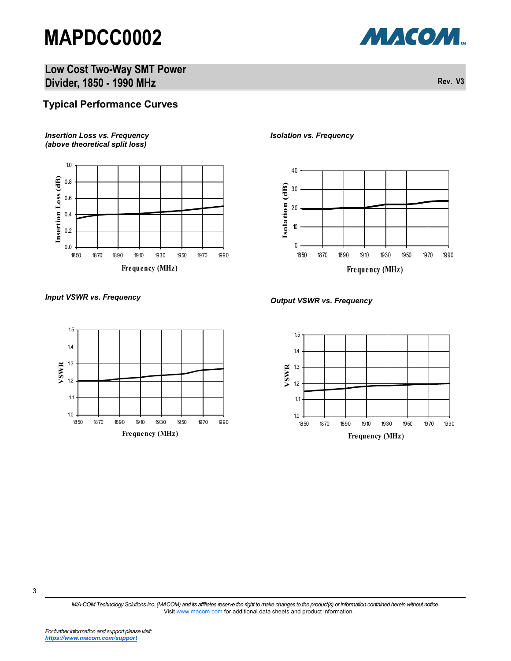

**Low Cost Two-Way SMT Power Divider, 1850 - 1990 MHz Rev. V3** 

### **Typical Performance Curves**

#### *Insertion Loss vs. Frequency (above theoretical split loss)*



#### *Isolation vs. Frequency*





*Input VSWR vs. Frequency Output VSWR vs. Frequency*



*M/A-COM Technology Solutions Inc. (MACOM) and its affiliates reserve the right to make changes to the product(s) or information contained herein without notice.*  Visit [www.macom.com](http://www.macom.com/) for additional data sheets and product information.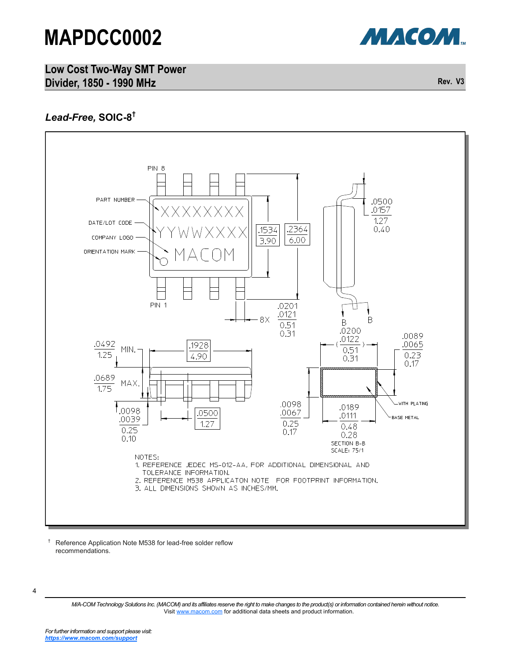



# *Lead-Free,* **SOIC-8 †**



† Reference Application Note M538 for lead-free solder reflow recommendations.

<sup>4</sup>

*M/A-COM Technology Solutions Inc. (MACOM) and its affiliates reserve the right to make changes to the product(s) or information contained herein without notice.*  Visit [www.macom.com](http://www.macom.com/) for additional data sheets and product information.